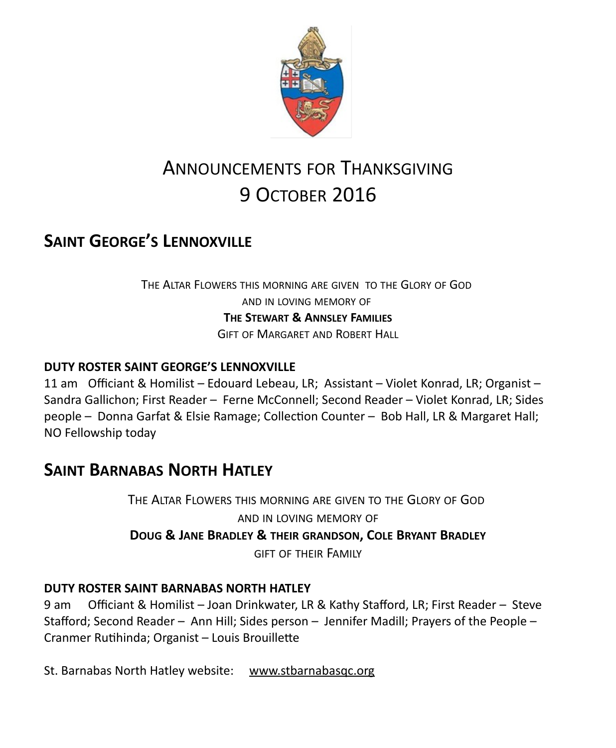

# ANNOUNCEMENTS FOR THANKSGIVING 9 OCTOBER 2016

## **SAINT GEORGE'S LENNOXVILLE**

THE ALTAR FLOWERS THIS MORNING ARE GIVEN TO THE GLORY OF GOD AND IN LOVING MEMORY OF **THE STEWART & ANNSLEY FAMILIES** GIFT OF MARGARET AND ROBERT HALL

#### **DUTY ROSTER SAINT GEORGE'S LENNOXVILLE**

11 am Officiant & Homilist – Edouard Lebeau, LR; Assistant – Violet Konrad, LR; Organist – Sandra Gallichon; First Reader – Ferne McConnell; Second Reader – Violet Konrad, LR; Sides people – Donna Garfat & Elsie Ramage; Collection Counter – Bob Hall, LR & Margaret Hall; NO Fellowship today

### **SAINT BARNABAS NORTH HATLEY**

THE ALTAR FLOWERS THIS MORNING ARE GIVEN TO THE GLORY OF GOD AND IN LOVING MEMORY OF **DOUG & JANE BRADLEY & THEIR GRANDSON, COLE BRYANT BRADLEY** GIFT OF THEIR FAMILY

#### **DUTY ROSTER SAINT BARNABAS NORTH HATLEY**

9 am Officiant & Homilist – Joan Drinkwater, LR & Kathy Stafford, LR; First Reader – Steve Stafford; Second Reader – Ann Hill; Sides person – Jennifer Madill; Prayers of the People – Cranmer Rutihinda; Organist – Louis Brouillette

St. Barnabas North Hatley website: [www.stbarnabasqc.org](https://webmail.ubishops.ca/owa/redir.aspx?REF=0vV84iQWktbgou41-Q7x-hpuWc0un25Lg32_cT3pE_mXa77B8czTCAFodHRwOi8vd3d3LnN0YmFybmFiYXNxYy5vcmc.)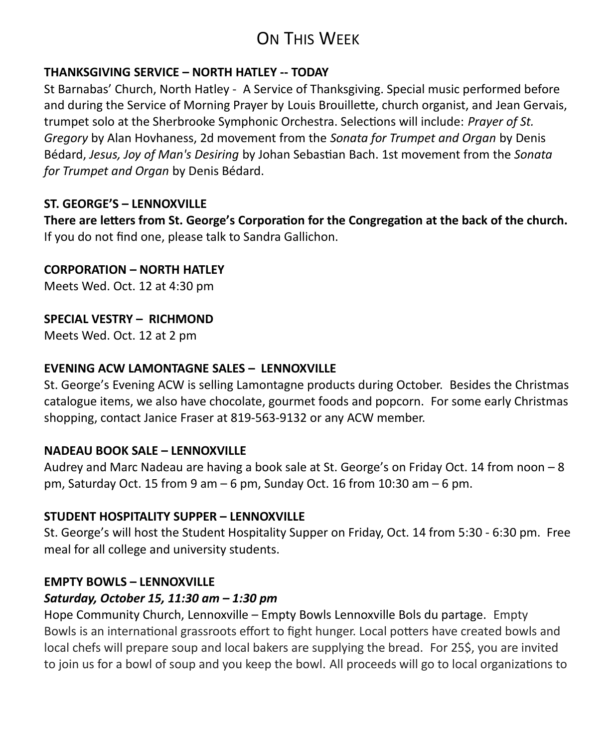## ON THIS WEEK

#### **THANKSGIVING SERVICE – NORTH HATLEY -- TODAY**

St Barnabas' Church, North Hatley - A Service of Thanksgiving. Special music performed before and during the Service of Morning Prayer by Louis Brouillette, church organist, and Jean Gervais, trumpet solo at the Sherbrooke Symphonic Orchestra. Selections will include: *Prayer of St. Gregory* by Alan Hovhaness, 2d movement from the *Sonata for Trumpet and Organ* by Denis Bédard, *Jesus, Joy of Man's Desiring* by Johan Sebastian Bach. 1st movement from the *Sonata for Trumpet and Organ* by Denis Bédard.

#### **ST. GEORGE'S – LENNOXVILLE**

**There are letters from St. George's Corporation for the Congregation at the back of the church.**  If you do not find one, please talk to Sandra Gallichon.

**CORPORATION – NORTH HATLEY**

Meets Wed. Oct. 12 at 4:30 pm

#### **SPECIAL VESTRY – RICHMOND**

Meets Wed. Oct. 12 at 2 pm

#### **EVENING ACW LAMONTAGNE SALES – LENNOXVILLE**

St. George's Evening ACW is selling Lamontagne products during October. Besides the Christmas catalogue items, we also have chocolate, gourmet foods and popcorn. For some early Christmas shopping, contact Janice Fraser at 819-563-9132 or any ACW member.

#### **NADEAU BOOK SALE – LENNOXVILLE**

Audrey and Marc Nadeau are having a book sale at St. George's on Friday Oct. 14 from noon – 8 pm, Saturday Oct. 15 from 9 am – 6 pm, Sunday Oct. 16 from 10:30 am – 6 pm.

#### **STUDENT HOSPITALITY SUPPER – LENNOXVILLE**

St. George's will host the Student Hospitality Supper on Friday, Oct. 14 from 5:30 - 6:30 pm. Free meal for all college and university students.

#### **EMPTY BOWLS – LENNOXVILLE**

#### *Saturday, October 15, 11:30 am – 1:30 pm*

Hope Community Church, Lennoxville – Empty Bowls Lennoxville Bols du partage. Empty Bowls is an international grassroots effort to fight hunger. Local potters have created bowls and local chefs will prepare soup and local bakers are supplying the bread. For 25\$, you are invited to join us for a bowl of soup and you keep the bowl. All proceeds will go to local organizations to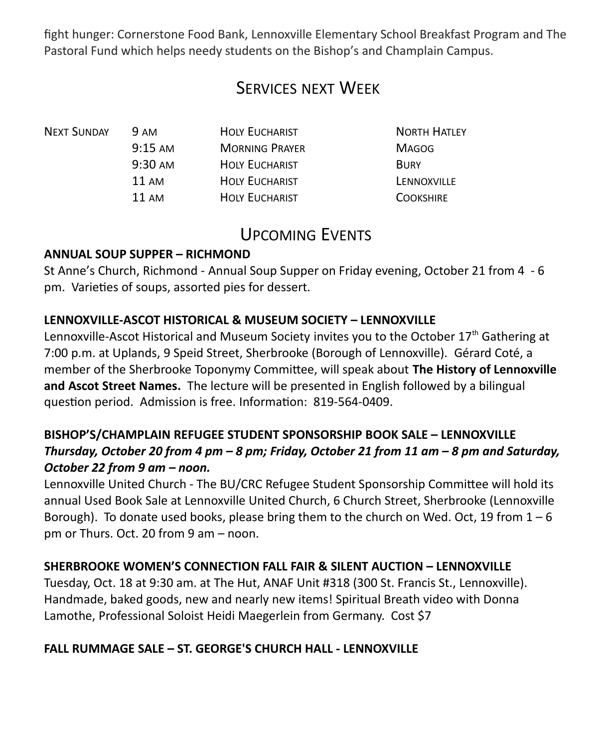fight hunger: Cornerstone Food Bank, Lennoxville Elementary School Breakfast Program and The Pastoral Fund which helps needy students on the Bishop's and Champlain Campus.

## SERVICES NEXT WEEK

| <b>9 AM</b>       | <b>HOLY EUCHARIST</b> | <b>NORTH HATLEY</b> |
|-------------------|-----------------------|---------------------|
| $9:15 \text{ AM}$ | <b>MORNING PRAYER</b> | <b>MAGOG</b>        |
| $9:30 \text{ AM}$ | <b>HOLY EUCHARIST</b> | <b>BURY</b>         |
| $11 \text{ AM}$   | <b>HOLY EUCHARIST</b> | LENNOXVILLE         |
| $11 \text{ AM}$   | <b>HOLY EUCHARIST</b> | <b>COOKSHIRE</b>    |
|                   |                       |                     |

### UPCOMING EVENTS

#### **ANNUAL SOUP SUPPER – RICHMOND**

St Anne's Church, Richmond - Annual Soup Supper on Friday evening, October 21 from 4 - 6 pm. Varieties of soups, assorted pies for dessert.

#### **LENNOXVILLE-ASCOT HISTORICAL & MUSEUM SOCIETY – LENNOXVILLE**

Lennoxville-Ascot Historical and Museum Society invites you to the October  $17<sup>th</sup>$  Gathering at 7:00 p.m. at Uplands, 9 Speid Street, Sherbrooke (Borough of Lennoxville). Gérard Coté, a member of the Sherbrooke Toponymy Committee, will speak about **The History of Lennoxville and Ascot Street Names.** The lecture will be presented in English followed by a bilingual question period. Admission is free. Information: 819-564-0409.

#### **BISHOP'S/CHAMPLAIN REFUGEE STUDENT SPONSORSHIP BOOK SALE – LENNOXVILLE** *Thursday, October 20 from 4 pm – 8 pm; Friday, October 21 from 11 am – 8 pm and Saturday, October 22 from 9 am – noon.*

Lennoxville United Church - The BU/CRC Refugee Student Sponsorship Committee will hold its annual Used Book Sale at Lennoxville United Church, 6 Church Street, Sherbrooke (Lennoxville Borough). To donate used books, please bring them to the church on Wed. Oct, 19 from  $1-6$ pm or Thurs. Oct. 20 from 9 am – noon.

#### **SHERBROOKE WOMEN'S CONNECTION FALL FAIR & SILENT AUCTION – LENNOXVILLE**

Tuesday, Oct. 18 at 9:30 am. at The Hut, ANAF Unit #318 (300 St. Francis St., Lennoxville). Handmade, baked goods, new and nearly new items! Spiritual Breath video with Donna Lamothe, Professional Soloist Heidi Maegerlein from Germany. Cost \$7

#### **FALL RUMMAGE SALE – ST. GEORGE'S CHURCH HALL - LENNOXVILLE**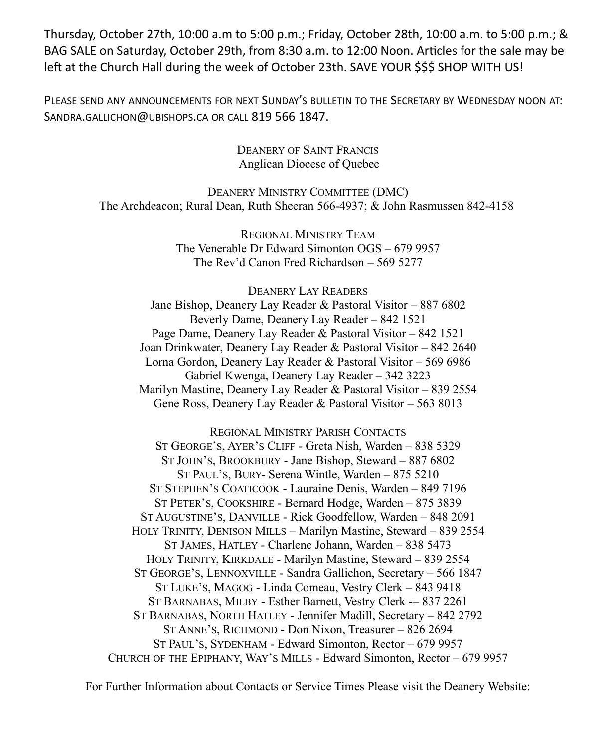Thursday, October 27th, 10:00 a.m to 5:00 p.m.; Friday, October 28th, 10:00 a.m. to 5:00 p.m.; & BAG SALE on Saturday, October 29th, from 8:30 a.m. to 12:00 Noon. Articles for the sale may be left at the Church Hall during the week of October 23th. SAVE YOUR \$\$\$ SHOP WITH US!

PLEASE SEND ANY ANNOUNCEMENTS FOR NEXT SUNDAY'S BULLETIN TO THE SECRETARY BY WEDNESDAY NOON AT: SANDRA.GALLICHON@UBISHOPS.CA OR CALL 819 566 1847.

> DEANERY OF SAINT FRANCIS Anglican Diocese of Quebec

DEANERY MINISTRY COMMITTEE (DMC) The Archdeacon; Rural Dean, Ruth Sheeran 566-4937; & John Rasmussen 842-4158

> REGIONAL MINISTRY TEAM The Venerable Dr Edward Simonton OGS – 679 9957 The Rev'd Canon Fred Richardson – 569 5277

> > DEANERY LAY READERS

Jane Bishop, Deanery Lay Reader & Pastoral Visitor – 887 6802 Beverly Dame, Deanery Lay Reader – 842 1521 Page Dame, Deanery Lay Reader & Pastoral Visitor – 842 1521 Joan Drinkwater, Deanery Lay Reader & Pastoral Visitor – 842 2640 Lorna Gordon, Deanery Lay Reader & Pastoral Visitor – 569 6986 Gabriel Kwenga, Deanery Lay Reader – 342 3223 Marilyn Mastine, Deanery Lay Reader & Pastoral Visitor – 839 2554 Gene Ross, Deanery Lay Reader & Pastoral Visitor – 563 8013

REGIONAL MINISTRY PARISH CONTACTS ST GEORGE'S, AYER'S CLIFF - Greta Nish, Warden – 838 5329 ST JOHN'S, BROOKBURY - Jane Bishop, Steward – 887 6802 ST PAUL'S, BURY- Serena Wintle, Warden – 875 5210 ST STEPHEN'S COATICOOK - Lauraine Denis, Warden – 849 7196 ST PETER'S, COOKSHIRE - Bernard Hodge, Warden – 875 3839 ST AUGUSTINE'S, DANVILLE - Rick Goodfellow, Warden – 848 2091 HOLY TRINITY, DENISON MILLS – Marilyn Mastine, Steward – 839 2554 ST JAMES, HATLEY - Charlene Johann, Warden – 838 5473 HOLY TRINITY, KIRKDALE - Marilyn Mastine, Steward – 839 2554 ST GEORGE'S, LENNOXVILLE - Sandra Gallichon, Secretary – 566 1847 ST LUKE'S, MAGOG - Linda Comeau, Vestry Clerk – 843 9418 ST BARNABAS, MILBY - Esther Barnett, Vestry Clerk -– 837 2261 ST BARNABAS, NORTH HATLEY - Jennifer Madill, Secretary – 842 2792 ST ANNE'S, RICHMOND - Don Nixon, Treasurer – 826 2694 ST PAUL'S, SYDENHAM - Edward Simonton, Rector – 679 9957 CHURCH OF THE EPIPHANY, WAY'S MILLS - Edward Simonton, Rector – 679 9957

For Further Information about Contacts or Service Times Please visit the Deanery Website: